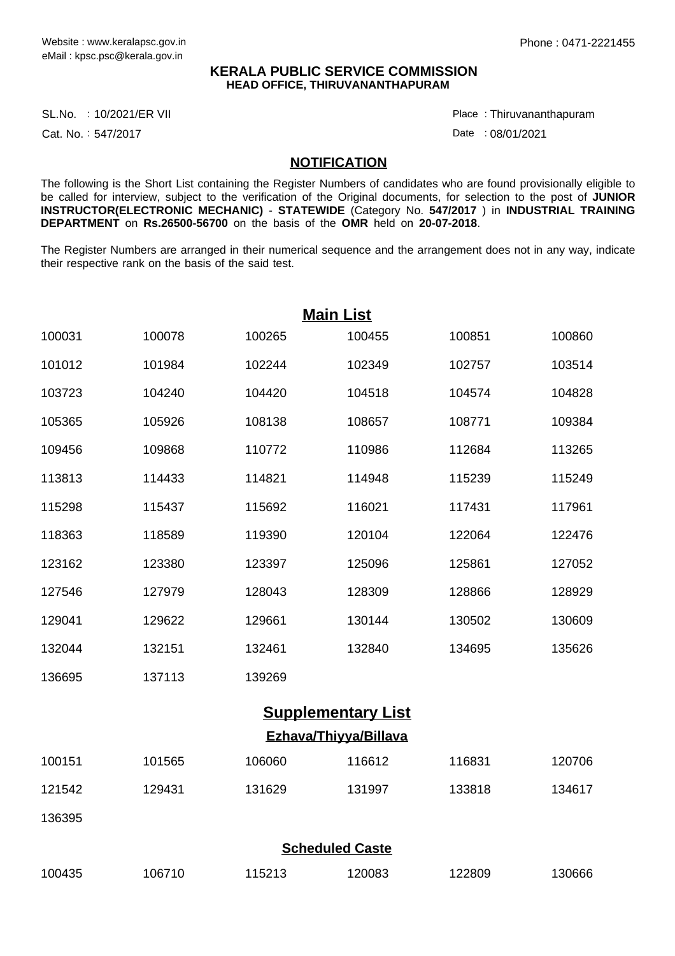## **KERALA PUBLIC SERVICE COMMISSION HEAD OFFICE, THIRUVANANTHAPURAM**

SL.No. :10/2021/ER VII Place

Cat. No.: 547/2017

Thiruvananthapuram :

Date: 08/01/2021

## **NOTIFICATION**

The following is the Short List containing the Register Numbers of candidates who are found provisionally eligible to be called for interview, subject to the verification of the Original documents, for selection to the post of **JUNIOR INSTRUCTOR(ELECTRONIC MECHANIC)** - **STATEWIDE** (Category No. **547/2017** ) in **INDUSTRIAL TRAINING DEPARTMENT** on **Rs.26500-56700** on the basis of the **OMR** held on **20-07-2018**.

The Register Numbers are arranged in their numerical sequence and the arrangement does not in any way, indicate their respective rank on the basis of the said test.

| <b>Main List</b>          |        |        |        |        |        |  |  |  |  |
|---------------------------|--------|--------|--------|--------|--------|--|--|--|--|
| 100031                    | 100078 | 100265 | 100455 | 100851 | 100860 |  |  |  |  |
| 101012                    | 101984 | 102244 | 102349 | 102757 | 103514 |  |  |  |  |
| 103723                    | 104240 | 104420 | 104518 | 104574 | 104828 |  |  |  |  |
| 105365                    | 105926 | 108138 | 108657 | 108771 | 109384 |  |  |  |  |
| 109456                    | 109868 | 110772 | 110986 | 112684 | 113265 |  |  |  |  |
| 113813                    | 114433 | 114821 | 114948 | 115239 | 115249 |  |  |  |  |
| 115298                    | 115437 | 115692 | 116021 | 117431 | 117961 |  |  |  |  |
| 118363                    | 118589 | 119390 | 120104 | 122064 | 122476 |  |  |  |  |
| 123162                    | 123380 | 123397 | 125096 | 125861 | 127052 |  |  |  |  |
| 127546                    | 127979 | 128043 | 128309 | 128866 | 128929 |  |  |  |  |
| 129041                    | 129622 | 129661 | 130144 | 130502 | 130609 |  |  |  |  |
| 132044                    | 132151 | 132461 | 132840 | 134695 | 135626 |  |  |  |  |
| 136695                    | 137113 | 139269 |        |        |        |  |  |  |  |
| <b>Supplementary List</b> |        |        |        |        |        |  |  |  |  |
| Ezhava/Thiyya/Billava     |        |        |        |        |        |  |  |  |  |
| 100151                    | 101565 | 106060 | 116612 | 116831 | 120706 |  |  |  |  |
| 121542                    | 129431 | 131629 | 131997 | 133818 | 134617 |  |  |  |  |
| 136395                    |        |        |        |        |        |  |  |  |  |
| <b>Scheduled Caste</b>    |        |        |        |        |        |  |  |  |  |
| 100435                    | 106710 | 115213 | 120083 | 122809 | 130666 |  |  |  |  |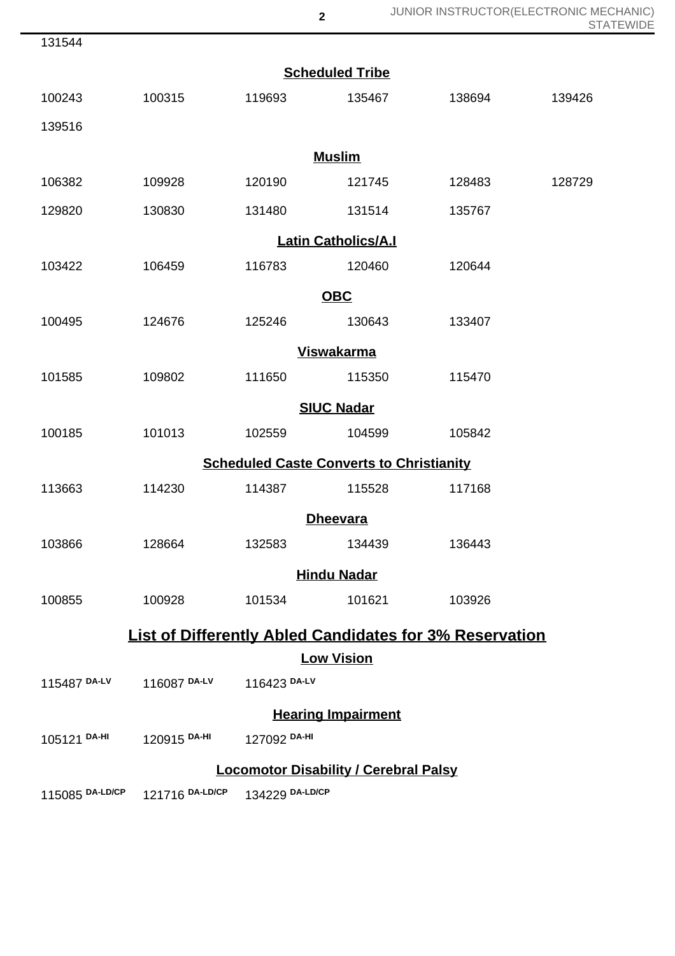JUNIOR INSTRUCTOR(ELECTRONIC MECHANIC) STATEWIDE

| 131544                                          |                                        |                            |                           |                                                                |        |  |  |  |  |  |
|-------------------------------------------------|----------------------------------------|----------------------------|---------------------------|----------------------------------------------------------------|--------|--|--|--|--|--|
| <b>Scheduled Tribe</b>                          |                                        |                            |                           |                                                                |        |  |  |  |  |  |
| 100243                                          | 100315                                 | 119693                     | 135467                    | 138694                                                         | 139426 |  |  |  |  |  |
| 139516                                          |                                        |                            |                           |                                                                |        |  |  |  |  |  |
|                                                 |                                        | <b>Muslim</b>              |                           |                                                                |        |  |  |  |  |  |
| 106382                                          | 109928                                 | 120190                     | 121745                    | 128483                                                         | 128729 |  |  |  |  |  |
| 129820                                          | 130830                                 | 131480                     | 131514                    | 135767                                                         |        |  |  |  |  |  |
|                                                 |                                        | <b>Latin Catholics/A.I</b> |                           |                                                                |        |  |  |  |  |  |
| 103422                                          | 106459                                 | 116783                     | 120460                    | 120644                                                         |        |  |  |  |  |  |
| <b>OBC</b>                                      |                                        |                            |                           |                                                                |        |  |  |  |  |  |
| 100495                                          | 124676                                 | 125246                     | 130643                    | 133407                                                         |        |  |  |  |  |  |
| <b>Viswakarma</b>                               |                                        |                            |                           |                                                                |        |  |  |  |  |  |
| 101585                                          | 109802                                 | 111650                     | 115350                    | 115470                                                         |        |  |  |  |  |  |
|                                                 |                                        | <b>SIUC Nadar</b>          |                           |                                                                |        |  |  |  |  |  |
| 100185                                          | 101013                                 | 102559                     | 104599                    | 105842                                                         |        |  |  |  |  |  |
| <b>Scheduled Caste Converts to Christianity</b> |                                        |                            |                           |                                                                |        |  |  |  |  |  |
| 113663                                          | 114230                                 | 114387                     | 115528                    | 117168                                                         |        |  |  |  |  |  |
| <b>Dheevara</b>                                 |                                        |                            |                           |                                                                |        |  |  |  |  |  |
| 103866                                          | 128664                                 | 132583                     | 134439                    | 136443                                                         |        |  |  |  |  |  |
|                                                 |                                        | <b>Hindu Nadar</b>         |                           |                                                                |        |  |  |  |  |  |
| 100855                                          | 100928                                 | 101534                     | 101621                    | 103926                                                         |        |  |  |  |  |  |
|                                                 |                                        |                            |                           | <b>List of Differently Abled Candidates for 3% Reservation</b> |        |  |  |  |  |  |
| <b>Low Vision</b>                               |                                        |                            |                           |                                                                |        |  |  |  |  |  |
|                                                 | 115487 DA-LV 116087 DA-LV 116423 DA-LV |                            |                           |                                                                |        |  |  |  |  |  |
|                                                 |                                        |                            | <b>Hearing Impairment</b> |                                                                |        |  |  |  |  |  |
| 105121 DA-HI                                    | 120915 <sup>DA-HI</sup>                | 127092 DA-HI               |                           |                                                                |        |  |  |  |  |  |
| <b>Locomotor Disability / Cerebral Palsy</b>    |                                        |                            |                           |                                                                |        |  |  |  |  |  |
|                                                 | 115085 DA-LD/CP 121716 DA-LD/CP        | 134229 DA-LD/CP            |                           |                                                                |        |  |  |  |  |  |

**2**